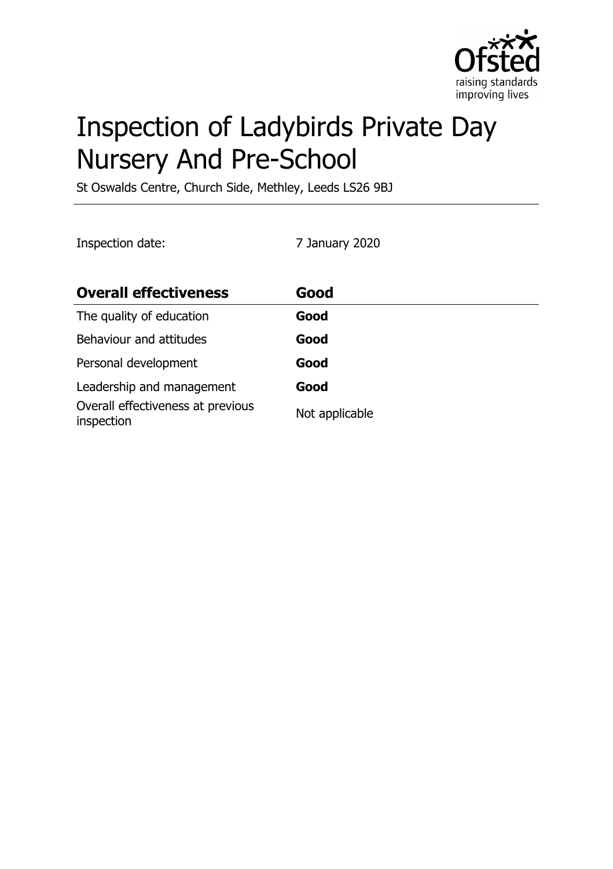

# Inspection of Ladybirds Private Day Nursery And Pre-School

St Oswalds Centre, Church Side, Methley, Leeds LS26 9BJ

Inspection date: 7 January 2020

| <b>Overall effectiveness</b>                    | Good           |
|-------------------------------------------------|----------------|
| The quality of education                        | Good           |
| Behaviour and attitudes                         | Good           |
| Personal development                            | Good           |
| Leadership and management                       | Good           |
| Overall effectiveness at previous<br>inspection | Not applicable |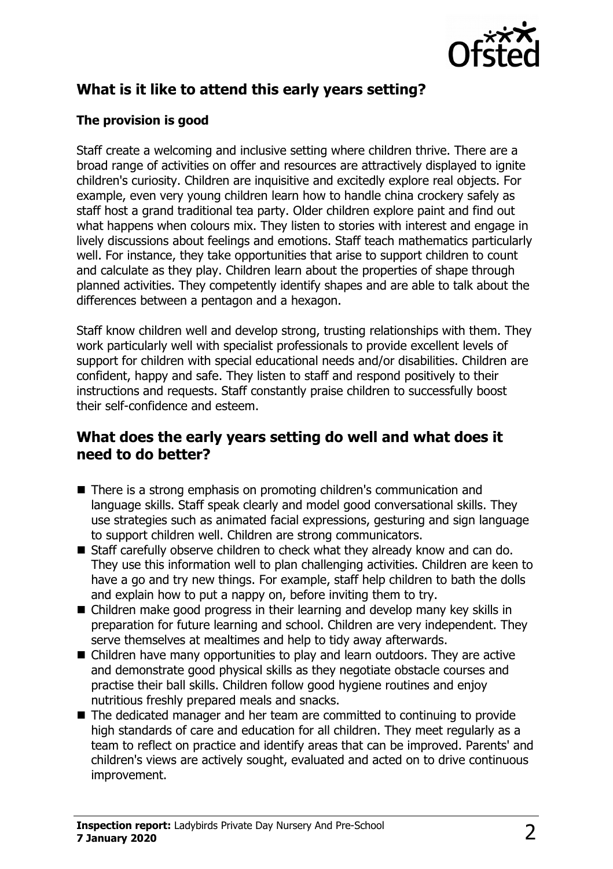

# **What is it like to attend this early years setting?**

### **The provision is good**

Staff create a welcoming and inclusive setting where children thrive. There are a broad range of activities on offer and resources are attractively displayed to ignite children's curiosity. Children are inquisitive and excitedly explore real objects. For example, even very young children learn how to handle china crockery safely as staff host a grand traditional tea party. Older children explore paint and find out what happens when colours mix. They listen to stories with interest and engage in lively discussions about feelings and emotions. Staff teach mathematics particularly well. For instance, they take opportunities that arise to support children to count and calculate as they play. Children learn about the properties of shape through planned activities. They competently identify shapes and are able to talk about the differences between a pentagon and a hexagon.

Staff know children well and develop strong, trusting relationships with them. They work particularly well with specialist professionals to provide excellent levels of support for children with special educational needs and/or disabilities. Children are confident, happy and safe. They listen to staff and respond positively to their instructions and requests. Staff constantly praise children to successfully boost their self-confidence and esteem.

## **What does the early years setting do well and what does it need to do better?**

- There is a strong emphasis on promoting children's communication and language skills. Staff speak clearly and model good conversational skills. They use strategies such as animated facial expressions, gesturing and sign language to support children well. Children are strong communicators.
- Staff carefully observe children to check what they already know and can do. They use this information well to plan challenging activities. Children are keen to have a go and try new things. For example, staff help children to bath the dolls and explain how to put a nappy on, before inviting them to try.
- $\blacksquare$  Children make good progress in their learning and develop many key skills in preparation for future learning and school. Children are very independent. They serve themselves at mealtimes and help to tidy away afterwards.
- $\blacksquare$  Children have many opportunities to play and learn outdoors. They are active and demonstrate good physical skills as they negotiate obstacle courses and practise their ball skills. Children follow good hygiene routines and enjoy nutritious freshly prepared meals and snacks.
- The dedicated manager and her team are committed to continuing to provide high standards of care and education for all children. They meet regularly as a team to reflect on practice and identify areas that can be improved. Parents' and children's views are actively sought, evaluated and acted on to drive continuous improvement.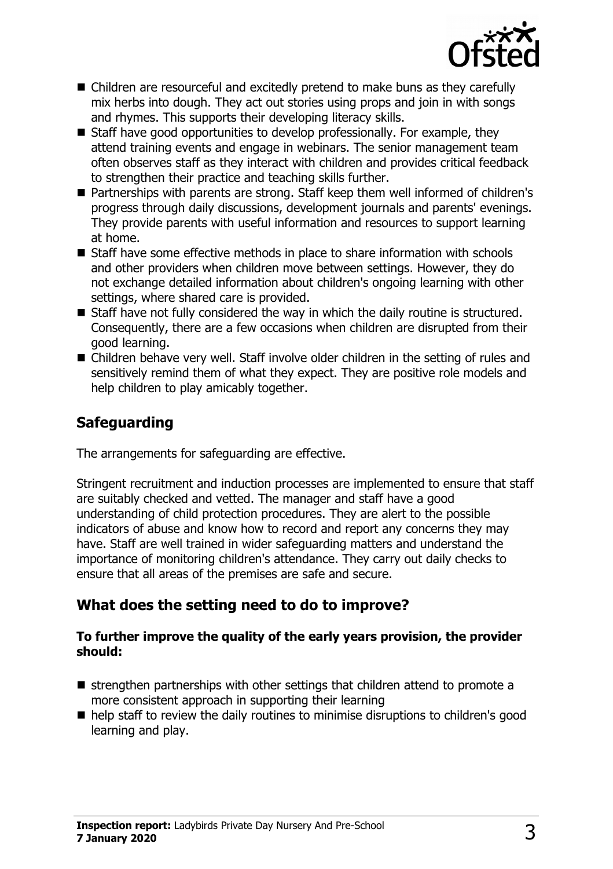

- Children are resourceful and excitedly pretend to make buns as they carefully mix herbs into dough. They act out stories using props and join in with songs and rhymes. This supports their developing literacy skills.
- $\blacksquare$  Staff have good opportunities to develop professionally. For example, they attend training events and engage in webinars. The senior management team often observes staff as they interact with children and provides critical feedback to strengthen their practice and teaching skills further.
- Partnerships with parents are strong. Staff keep them well informed of children's progress through daily discussions, development journals and parents' evenings. They provide parents with useful information and resources to support learning at home.
- $\blacksquare$  Staff have some effective methods in place to share information with schools and other providers when children move between settings. However, they do not exchange detailed information about children's ongoing learning with other settings, where shared care is provided.
- $\blacksquare$  Staff have not fully considered the way in which the daily routine is structured. Consequently, there are a few occasions when children are disrupted from their good learning.
- Children behave very well. Staff involve older children in the setting of rules and sensitively remind them of what they expect. They are positive role models and help children to play amicably together.

# **Safeguarding**

The arrangements for safeguarding are effective.

Stringent recruitment and induction processes are implemented to ensure that staff are suitably checked and vetted. The manager and staff have a good understanding of child protection procedures. They are alert to the possible indicators of abuse and know how to record and report any concerns they may have. Staff are well trained in wider safeguarding matters and understand the importance of monitoring children's attendance. They carry out daily checks to ensure that all areas of the premises are safe and secure.

## **What does the setting need to do to improve?**

#### **To further improve the quality of the early years provision, the provider should:**

- $\blacksquare$  strengthen partnerships with other settings that children attend to promote a more consistent approach in supporting their learning
- $\blacksquare$  help staff to review the daily routines to minimise disruptions to children's good learning and play.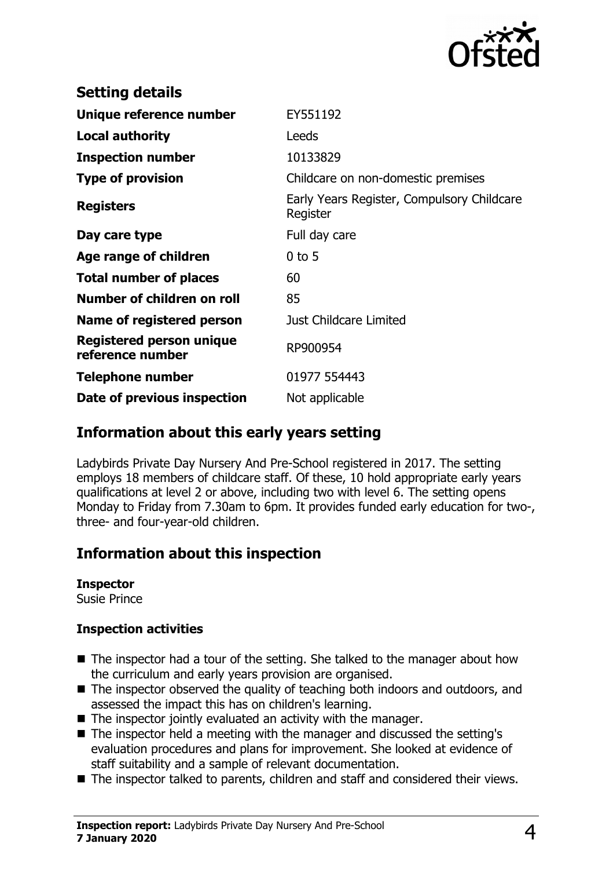

| <b>Setting details</b>                              |                                                        |
|-----------------------------------------------------|--------------------------------------------------------|
| Unique reference number                             | EY551192                                               |
| <b>Local authority</b>                              | Leeds                                                  |
| <b>Inspection number</b>                            | 10133829                                               |
| <b>Type of provision</b>                            | Childcare on non-domestic premises                     |
| <b>Registers</b>                                    | Early Years Register, Compulsory Childcare<br>Register |
| Day care type                                       | Full day care                                          |
| Age range of children                               | $0$ to 5                                               |
| <b>Total number of places</b>                       | 60                                                     |
| Number of children on roll                          | 85                                                     |
| Name of registered person                           | Just Childcare Limited                                 |
| <b>Registered person unique</b><br>reference number | RP900954                                               |
| <b>Telephone number</b>                             | 01977 554443                                           |
| Date of previous inspection                         | Not applicable                                         |

## **Information about this early years setting**

Ladybirds Private Day Nursery And Pre-School registered in 2017. The setting employs 18 members of childcare staff. Of these, 10 hold appropriate early years qualifications at level 2 or above, including two with level 6. The setting opens Monday to Friday from 7.30am to 6pm. It provides funded early education for two-, three- and four-year-old children.

## **Information about this inspection**

#### **Inspector**

Susie Prince

#### **Inspection activities**

- $\blacksquare$  The inspector had a tour of the setting. She talked to the manager about how the curriculum and early years provision are organised.
- $\blacksquare$  The inspector observed the quality of teaching both indoors and outdoors, and assessed the impact this has on children's learning.
- $\blacksquare$  The inspector jointly evaluated an activity with the manager.
- The inspector held a meeting with the manager and discussed the setting's evaluation procedures and plans for improvement. She looked at evidence of staff suitability and a sample of relevant documentation.
- The inspector talked to parents, children and staff and considered their views.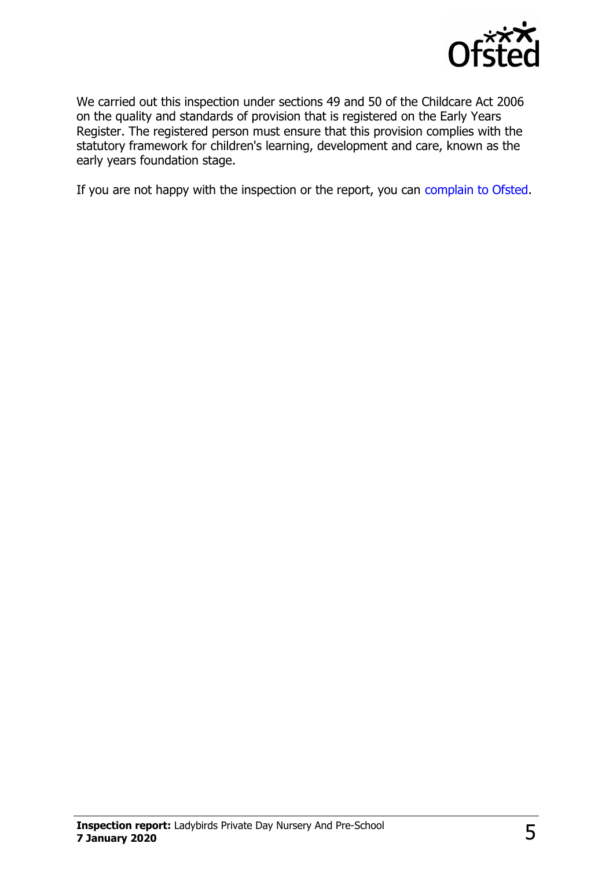

We carried out this inspection under sections 49 and 50 of the Childcare Act 2006 on the quality and standards of provision that is registered on the Early Years Register. The registered person must ensure that this provision complies with the statutory framework for children's learning, development and care, known as the early years foundation stage.

If you are not happy with the inspection or the report, you can [complain to Ofsted.](http://www.gov.uk/complain-ofsted-report)